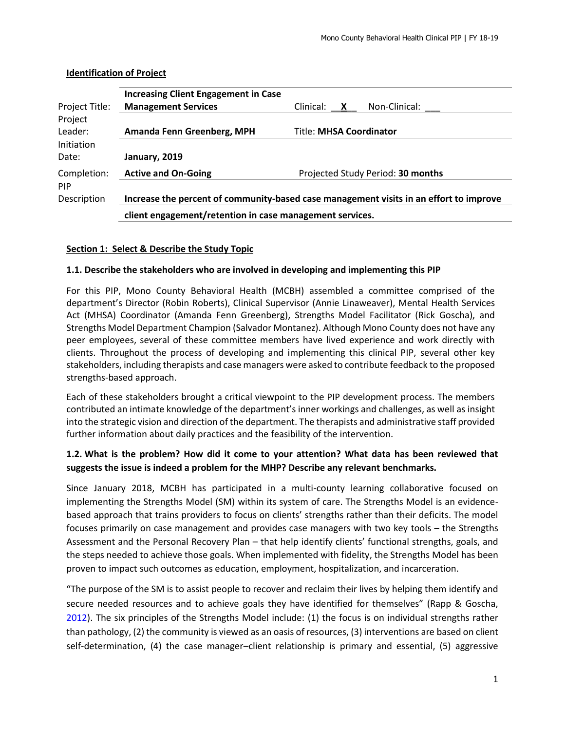| Project Title:        | <b>Increasing Client Engagement in Case</b><br><b>Management Services</b>              | Non-Clinical:<br>Clinical: X      |  |  |  |  |  |
|-----------------------|----------------------------------------------------------------------------------------|-----------------------------------|--|--|--|--|--|
| Project               |                                                                                        |                                   |  |  |  |  |  |
| Leader:<br>Initiation | Amanda Fenn Greenberg, MPH<br><b>Title: MHSA Coordinator</b>                           |                                   |  |  |  |  |  |
| Date:                 | January, 2019                                                                          |                                   |  |  |  |  |  |
| Completion:<br>PIP    | <b>Active and On-Going</b>                                                             | Projected Study Period: 30 months |  |  |  |  |  |
| Description           | Increase the percent of community-based case management visits in an effort to improve |                                   |  |  |  |  |  |
|                       | client engagement/retention in case management services.                               |                                   |  |  |  |  |  |

# **Identification of Project**

# **Section 1: Select & Describe the Study Topic**

#### **1.1. Describe the stakeholders who are involved in developing and implementing this PIP**

For this PIP, Mono County Behavioral Health (MCBH) assembled a committee comprised of the department's Director (Robin Roberts), Clinical Supervisor (Annie Linaweaver), Mental Health Services Act (MHSA) Coordinator (Amanda Fenn Greenberg), Strengths Model Facilitator (Rick Goscha), and Strengths Model Department Champion (Salvador Montanez). Although Mono County does not have any peer employees, several of these committee members have lived experience and work directly with clients. Throughout the process of developing and implementing this clinical PIP, several other key stakeholders, including therapists and case managers were asked to contribute feedback to the proposed strengths-based approach.

Each of these stakeholders brought a critical viewpoint to the PIP development process. The members contributed an intimate knowledge of the department's inner workings and challenges, as well as insight into the strategic vision and direction of the department. The therapists and administrative staff provided further information about daily practices and the feasibility of the intervention.

# **1.2. What is the problem? How did it come to your attention? What data has been reviewed that suggests the issue is indeed a problem for the MHP? Describe any relevant benchmarks.**

Since January 2018, MCBH has participated in a multi-county learning collaborative focused on implementing the Strengths Model (SM) within its system of care. The Strengths Model is an evidencebased approach that trains providers to focus on clients' strengths rather than their deficits. The model focuses primarily on case management and provides case managers with two key tools – the Strengths Assessment and the Personal Recovery Plan – that help identify clients' functional strengths, goals, and the steps needed to achieve those goals. When implemented with fidelity, the Strengths Model has been proven to impact such outcomes as education, employment, hospitalization, and incarceration.

"The purpose of the SM is to assist people to recover and reclaim their lives by helping them identify and secure needed resources and to achieve goals they have identified for themselves" (Rapp & Goscha, 2012). The six principles of the Strengths Model include: (1) the focus is on individual strengths rather than pathology, (2) the community is viewed as an oasis of resources, (3) interventions are based on client self-determination, (4) the case manager–client relationship is primary and essential, (5) aggressive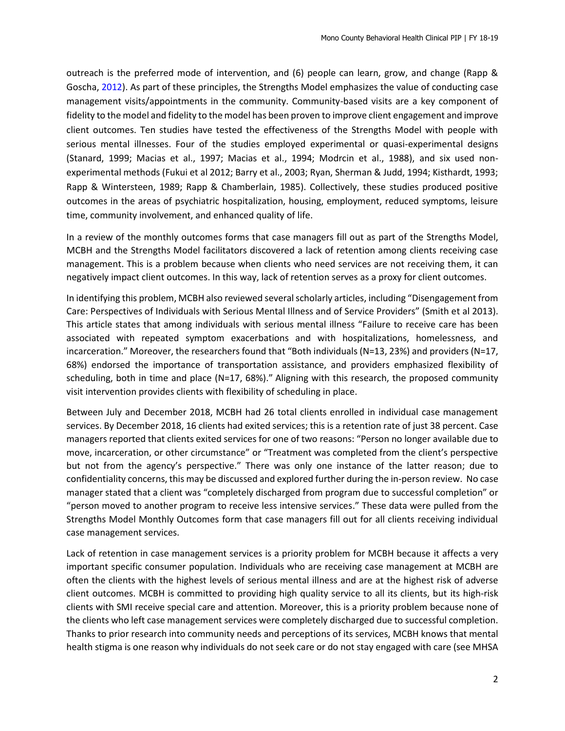outreach is the preferred mode of intervention, and (6) people can learn, grow, and change (Rapp & Goscha, 2012). As part of these principles, the Strengths Model emphasizes the value of conducting case management visits/appointments in the community. Community-based visits are a key component of fidelity to the model and fidelity to the model has been proven to improve client engagement and improve client outcomes. Ten studies have tested the effectiveness of the Strengths Model with people with serious mental illnesses. Four of the studies employed experimental or quasi-experimental designs (Stanard, 1999; Macias et al., 1997; Macias et al., 1994; Modrcin et al., 1988), and six used nonexperimental methods (Fukui et al 2012; Barry et al., 2003; Ryan, Sherman & Judd, 1994; Kisthardt, 1993; Rapp & Wintersteen, 1989; Rapp & Chamberlain, 1985). Collectively, these studies produced positive outcomes in the areas of psychiatric hospitalization, housing, employment, reduced symptoms, leisure time, community involvement, and enhanced quality of life.

In a review of the monthly outcomes forms that case managers fill out as part of the Strengths Model, MCBH and the Strengths Model facilitators discovered a lack of retention among clients receiving case management. This is a problem because when clients who need services are not receiving them, it can negatively impact client outcomes. In this way, lack of retention serves as a proxy for client outcomes.

In identifying this problem, MCBH also reviewed several scholarly articles, including "Disengagement from Care: Perspectives of Individuals with Serious Mental Illness and of Service Providers" (Smith et al 2013). This article states that among individuals with serious mental illness "Failure to receive care has been associated with repeated symptom exacerbations and with hospitalizations, homelessness, and incarceration." Moreover, the researchers found that "Both individuals (N=13, 23%) and providers (N=17, 68%) endorsed the importance of transportation assistance, and providers emphasized flexibility of scheduling, both in time and place (N=17, 68%)." Aligning with this research, the proposed community visit intervention provides clients with flexibility of scheduling in place.

Between July and December 2018, MCBH had 26 total clients enrolled in individual case management services. By December 2018, 16 clients had exited services; this is a retention rate of just 38 percent. Case managers reported that clients exited services for one of two reasons: "Person no longer available due to move, incarceration, or other circumstance" or "Treatment was completed from the client's perspective but not from the agency's perspective." There was only one instance of the latter reason; due to confidentiality concerns, this may be discussed and explored further during the in-person review. No case manager stated that a client was "completely discharged from program due to successful completion" or "person moved to another program to receive less intensive services." These data were pulled from the Strengths Model Monthly Outcomes form that case managers fill out for all clients receiving individual case management services.

Lack of retention in case management services is a priority problem for MCBH because it affects a very important specific consumer population. Individuals who are receiving case management at MCBH are often the clients with the highest levels of serious mental illness and are at the highest risk of adverse client outcomes. MCBH is committed to providing high quality service to all its clients, but its high-risk clients with SMI receive special care and attention. Moreover, this is a priority problem because none of the clients who left case management services were completely discharged due to successful completion. Thanks to prior research into community needs and perceptions of its services, MCBH knows that mental health stigma is one reason why individuals do not seek care or do not stay engaged with care (see MHSA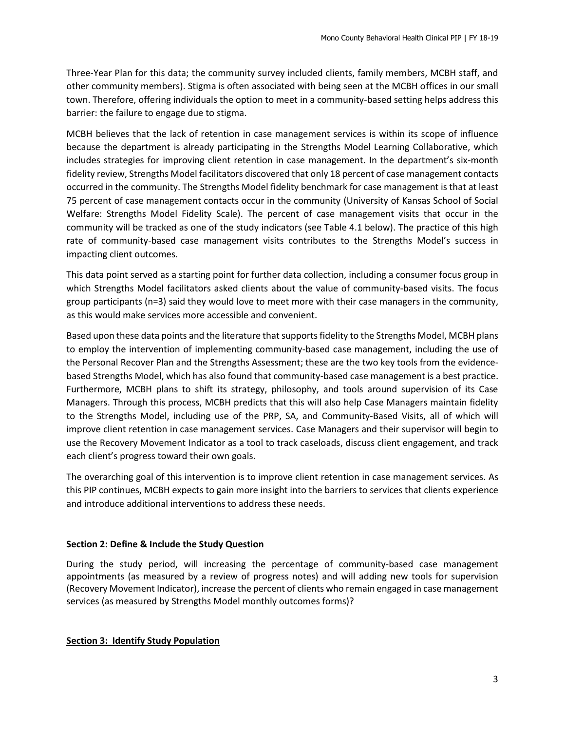Three-Year Plan for this data; the community survey included clients, family members, MCBH staff, and other community members). Stigma is often associated with being seen at the MCBH offices in our small town. Therefore, offering individuals the option to meet in a community-based setting helps address this barrier: the failure to engage due to stigma.

MCBH believes that the lack of retention in case management services is within its scope of influence because the department is already participating in the Strengths Model Learning Collaborative, which includes strategies for improving client retention in case management. In the department's six-month fidelity review, Strengths Model facilitators discovered that only 18 percent of case management contacts occurred in the community. The Strengths Model fidelity benchmark for case management is that at least 75 percent of case management contacts occur in the community (University of Kansas School of Social Welfare: Strengths Model Fidelity Scale). The percent of case management visits that occur in the community will be tracked as one of the study indicators (see Table 4.1 below). The practice of this high rate of community-based case management visits contributes to the Strengths Model's success in impacting client outcomes.

This data point served as a starting point for further data collection, including a consumer focus group in which Strengths Model facilitators asked clients about the value of community-based visits. The focus group participants (n=3) said they would love to meet more with their case managers in the community, as this would make services more accessible and convenient.

Based upon these data points and the literature that supports fidelity to the Strengths Model, MCBH plans to employ the intervention of implementing community-based case management, including the use of the Personal Recover Plan and the Strengths Assessment; these are the two key tools from the evidencebased Strengths Model, which has also found that community-based case management is a best practice. Furthermore, MCBH plans to shift its strategy, philosophy, and tools around supervision of its Case Managers. Through this process, MCBH predicts that this will also help Case Managers maintain fidelity to the Strengths Model, including use of the PRP, SA, and Community-Based Visits, all of which will improve client retention in case management services. Case Managers and their supervisor will begin to use the Recovery Movement Indicator as a tool to track caseloads, discuss client engagement, and track each client's progress toward their own goals.

The overarching goal of this intervention is to improve client retention in case management services. As this PIP continues, MCBH expects to gain more insight into the barriers to services that clients experience and introduce additional interventions to address these needs.

#### **Section 2: Define & Include the Study Question**

During the study period, will increasing the percentage of community-based case management appointments (as measured by a review of progress notes) and will adding new tools for supervision (Recovery Movement Indicator), increase the percent of clients who remain engaged in case management services (as measured by Strengths Model monthly outcomes forms)?

#### **Section 3: Identify Study Population**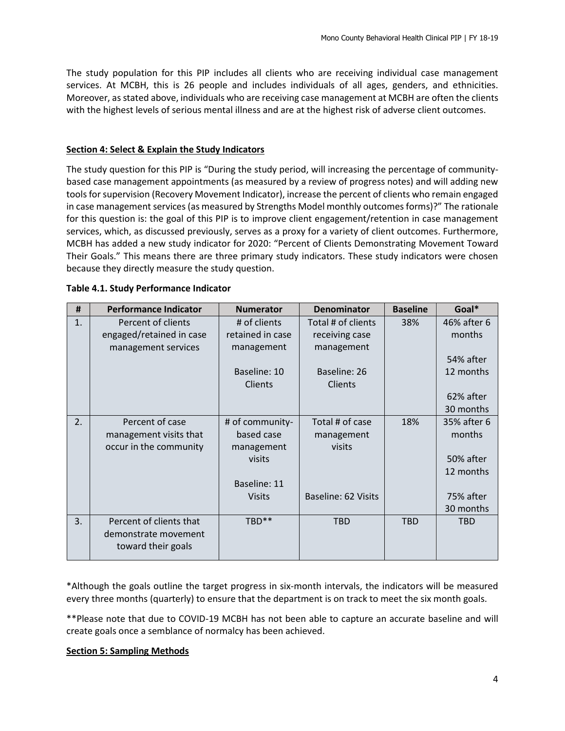The study population for this PIP includes all clients who are receiving individual case management services. At MCBH, this is 26 people and includes individuals of all ages, genders, and ethnicities. Moreover, as stated above, individuals who are receiving case management at MCBH are often the clients with the highest levels of serious mental illness and are at the highest risk of adverse client outcomes.

### **Section 4: Select & Explain the Study Indicators**

The study question for this PIP is "During the study period, will increasing the percentage of communitybased case management appointments (as measured by a review of progress notes) and will adding new tools for supervision (Recovery Movement Indicator), increase the percent of clients who remain engaged in case management services (as measured by Strengths Model monthly outcomes forms)?" The rationale for this question is: the goal of this PIP is to improve client engagement/retention in case management services, which, as discussed previously, serves as a proxy for a variety of client outcomes. Furthermore, MCBH has added a new study indicator for 2020: "Percent of Clients Demonstrating Movement Toward Their Goals." This means there are three primary study indicators. These study indicators were chosen because they directly measure the study question.

| #                | <b>Performance Indicator</b> | <b>Numerator</b> | <b>Denominator</b>  | <b>Baseline</b> | Goal*       |
|------------------|------------------------------|------------------|---------------------|-----------------|-------------|
| 1.               | Percent of clients           | # of clients     | Total # of clients  | 38%             | 46% after 6 |
|                  | engaged/retained in case     | retained in case | receiving case      |                 | months      |
|                  | management services          | management       | management          |                 |             |
|                  |                              |                  |                     |                 | 54% after   |
|                  |                              | Baseline: 10     | Baseline: 26        |                 | 12 months   |
|                  |                              | Clients          | Clients             |                 |             |
|                  |                              |                  |                     |                 | 62% after   |
|                  |                              |                  |                     |                 | 30 months   |
| $\overline{2}$ . | Percent of case              | # of community-  | Total # of case     | 18%             | 35% after 6 |
|                  | management visits that       | based case       | management          |                 | months      |
|                  | occur in the community       | management       | visits              |                 |             |
|                  |                              | visits           |                     |                 | 50% after   |
|                  |                              |                  |                     |                 | 12 months   |
|                  |                              | Baseline: 11     |                     |                 |             |
|                  |                              | <b>Visits</b>    | Baseline: 62 Visits |                 | 75% after   |
|                  |                              |                  |                     |                 | 30 months   |
| 3.               | Percent of clients that      | TBD**            | <b>TBD</b>          | <b>TBD</b>      | <b>TBD</b>  |
|                  | demonstrate movement         |                  |                     |                 |             |
|                  | toward their goals           |                  |                     |                 |             |
|                  |                              |                  |                     |                 |             |

#### **Table 4.1. Study Performance Indicator**

\*Although the goals outline the target progress in six-month intervals, the indicators will be measured every three months (quarterly) to ensure that the department is on track to meet the six month goals.

\*\*Please note that due to COVID-19 MCBH has not been able to capture an accurate baseline and will create goals once a semblance of normalcy has been achieved.

### **Section 5: Sampling Methods**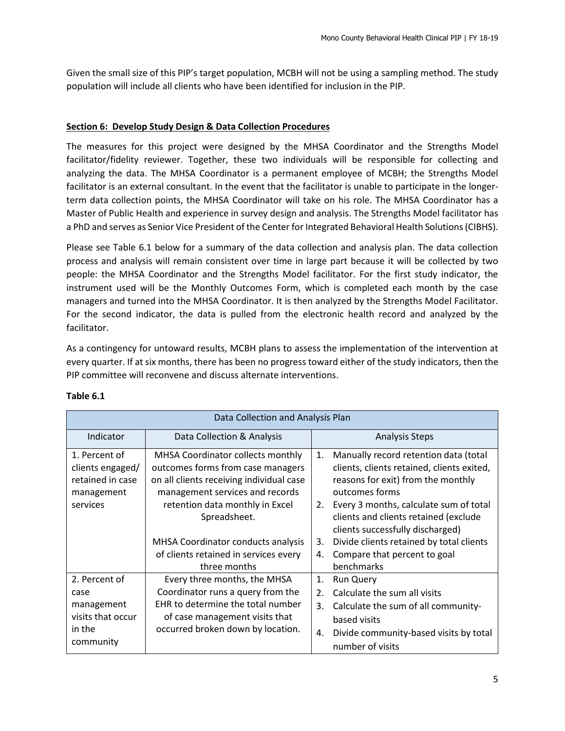Given the small size of this PIP's target population, MCBH will not be using a sampling method. The study population will include all clients who have been identified for inclusion in the PIP.

# **Section 6: Develop Study Design & Data Collection Procedures**

The measures for this project were designed by the MHSA Coordinator and the Strengths Model facilitator/fidelity reviewer. Together, these two individuals will be responsible for collecting and analyzing the data. The MHSA Coordinator is a permanent employee of MCBH; the Strengths Model facilitator is an external consultant. In the event that the facilitator is unable to participate in the longerterm data collection points, the MHSA Coordinator will take on his role. The MHSA Coordinator has a Master of Public Health and experience in survey design and analysis. The Strengths Model facilitator has a PhD and serves as Senior Vice President of the Center for Integrated Behavioral Health Solutions (CIBHS).

Please see Table 6.1 below for a summary of the data collection and analysis plan. The data collection process and analysis will remain consistent over time in large part because it will be collected by two people: the MHSA Coordinator and the Strengths Model facilitator. For the first study indicator, the instrument used will be the Monthly Outcomes Form, which is completed each month by the case managers and turned into the MHSA Coordinator. It is then analyzed by the Strengths Model Facilitator. For the second indicator, the data is pulled from the electronic health record and analyzed by the facilitator.

As a contingency for untoward results, MCBH plans to assess the implementation of the intervention at every quarter. If at six months, there has been no progress toward either of the study indicators, then the PIP committee will reconvene and discuss alternate interventions.

| Data Collection and Analysis Plan                                               |                                                                                                                                                                                                          |                      |                                                                                                                                                                                                                                                                    |  |  |  |
|---------------------------------------------------------------------------------|----------------------------------------------------------------------------------------------------------------------------------------------------------------------------------------------------------|----------------------|--------------------------------------------------------------------------------------------------------------------------------------------------------------------------------------------------------------------------------------------------------------------|--|--|--|
| Indicator                                                                       | Data Collection & Analysis                                                                                                                                                                               |                      | <b>Analysis Steps</b>                                                                                                                                                                                                                                              |  |  |  |
| 1. Percent of<br>clients engaged/<br>retained in case<br>management<br>services | MHSA Coordinator collects monthly<br>outcomes forms from case managers<br>on all clients receiving individual case<br>management services and records<br>retention data monthly in Excel<br>Spreadsheet. | 1.<br>2.             | Manually record retention data (total<br>clients, clients retained, clients exited,<br>reasons for exit) from the monthly<br>outcomes forms<br>Every 3 months, calculate sum of total<br>clients and clients retained (exclude<br>clients successfully discharged) |  |  |  |
|                                                                                 | <b>MHSA Coordinator conducts analysis</b><br>of clients retained in services every<br>three months                                                                                                       | 3.<br>4.             | Divide clients retained by total clients<br>Compare that percent to goal<br>benchmarks                                                                                                                                                                             |  |  |  |
| 2. Percent of<br>case<br>management<br>visits that occur<br>in the<br>community | Every three months, the MHSA<br>Coordinator runs a query from the<br>EHR to determine the total number<br>of case management visits that<br>occurred broken down by location.                            | 1.<br>2.<br>3.<br>4. | <b>Run Query</b><br>Calculate the sum all visits<br>Calculate the sum of all community-<br>based visits<br>Divide community-based visits by total<br>number of visits                                                                                              |  |  |  |

# **Table 6.1**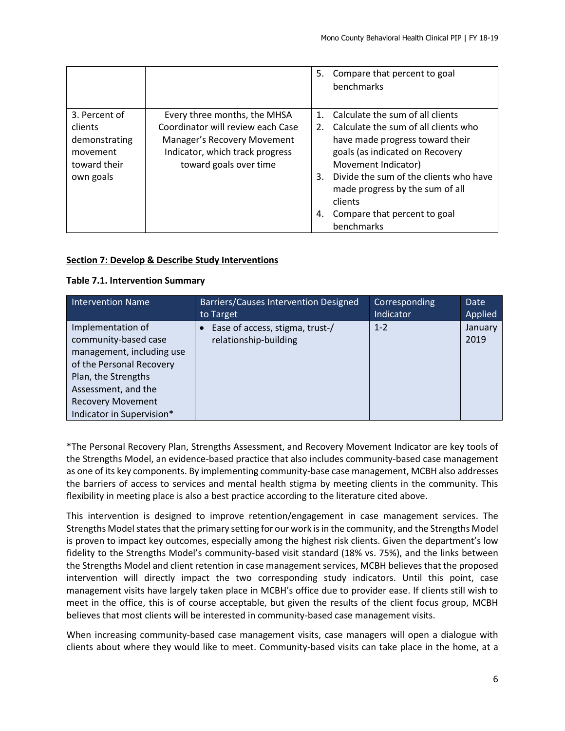|                |                                   | 5.          | Compare that percent to goal<br>benchmarks                                           |
|----------------|-----------------------------------|-------------|--------------------------------------------------------------------------------------|
| 3. Percent of  | Every three months, the MHSA      | $1_{\cdot}$ | Calculate the sum of all clients                                                     |
| <b>clients</b> | Coordinator will review each Case | 2.          | Calculate the sum of all clients who                                                 |
| demonstrating  | Manager's Recovery Movement       |             | have made progress toward their                                                      |
| movement       | Indicator, which track progress   |             | goals (as indicated on Recovery                                                      |
| toward their   | toward goals over time            |             | Movement Indicator)                                                                  |
| own goals      |                                   | 3.          | Divide the sum of the clients who have<br>made progress by the sum of all<br>clients |
|                |                                   | 4.          | Compare that percent to goal                                                         |
|                |                                   |             | benchmarks                                                                           |

# **Section 7: Develop & Describe Study Interventions**

# **Table 7.1. Intervention Summary**

| <b>Intervention Name</b>                                                                                                  | <b>Barriers/Causes Intervention Designed</b>             | Corresponding | Date            |
|---------------------------------------------------------------------------------------------------------------------------|----------------------------------------------------------|---------------|-----------------|
|                                                                                                                           | to Target                                                | Indicator     | Applied         |
| Implementation of<br>community-based case<br>management, including use<br>of the Personal Recovery<br>Plan, the Strengths | Ease of access, stigma, trust-/<br>relationship-building | $1 - 2$       | January<br>2019 |
| Assessment, and the<br><b>Recovery Movement</b><br>Indicator in Supervision*                                              |                                                          |               |                 |

\*The Personal Recovery Plan, Strengths Assessment, and Recovery Movement Indicator are key tools of the Strengths Model, an evidence-based practice that also includes community-based case management as one of its key components. By implementing community-base case management, MCBH also addresses the barriers of access to services and mental health stigma by meeting clients in the community. This flexibility in meeting place is also a best practice according to the literature cited above.

This intervention is designed to improve retention/engagement in case management services. The Strengths Model states that the primary setting for our work is in the community, and the Strengths Model is proven to impact key outcomes, especially among the highest risk clients. Given the department's low fidelity to the Strengths Model's community-based visit standard (18% vs. 75%), and the links between the Strengths Model and client retention in case management services, MCBH believes that the proposed intervention will directly impact the two corresponding study indicators. Until this point, case management visits have largely taken place in MCBH's office due to provider ease. If clients still wish to meet in the office, this is of course acceptable, but given the results of the client focus group, MCBH believes that most clients will be interested in community-based case management visits.

When increasing community-based case management visits, case managers will open a dialogue with clients about where they would like to meet. Community-based visits can take place in the home, at a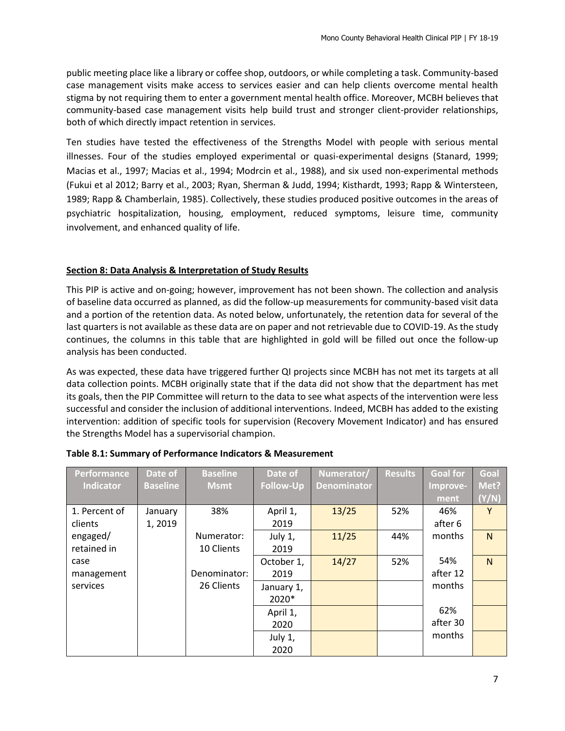public meeting place like a library or coffee shop, outdoors, or while completing a task. Community-based case management visits make access to services easier and can help clients overcome mental health stigma by not requiring them to enter a government mental health office. Moreover, MCBH believes that community-based case management visits help build trust and stronger client-provider relationships, both of which directly impact retention in services.

Ten studies have tested the effectiveness of the Strengths Model with people with serious mental illnesses. Four of the studies employed experimental or quasi-experimental designs (Stanard, 1999; Macias et al., 1997; Macias et al., 1994; Modrcin et al., 1988), and six used non-experimental methods (Fukui et al 2012; Barry et al., 2003; Ryan, Sherman & Judd, 1994; Kisthardt, 1993; Rapp & Wintersteen, 1989; Rapp & Chamberlain, 1985). Collectively, these studies produced positive outcomes in the areas of psychiatric hospitalization, housing, employment, reduced symptoms, leisure time, community involvement, and enhanced quality of life.

#### **Section 8: Data Analysis & Interpretation of Study Results**

This PIP is active and on-going; however, improvement has not been shown. The collection and analysis of baseline data occurred as planned, as did the follow-up measurements for community-based visit data and a portion of the retention data. As noted below, unfortunately, the retention data for several of the last quarters is not available as these data are on paper and not retrievable due to COVID-19. As the study continues, the columns in this table that are highlighted in gold will be filled out once the follow-up analysis has been conducted.

As was expected, these data have triggered further QI projects since MCBH has not met its targets at all data collection points. MCBH originally state that if the data did not show that the department has met its goals, then the PIP Committee will return to the data to see what aspects of the intervention were less successful and consider the inclusion of additional interventions. Indeed, MCBH has added to the existing intervention: addition of specific tools for supervision (Recovery Movement Indicator) and has ensured the Strengths Model has a supervisorial champion.

| Performance      | Date of         | <b>Baseline</b> | Date of          | Numerator/         | <b>Results</b> | <b>Goal for</b> | Goal           |
|------------------|-----------------|-----------------|------------------|--------------------|----------------|-----------------|----------------|
| <b>Indicator</b> | <b>Baseline</b> | <b>Msmt</b>     | <b>Follow-Up</b> | <b>Denominator</b> |                | Improve-        | Met?           |
|                  |                 |                 |                  |                    |                | ment            | (Y/N)          |
| 1. Percent of    | January         | 38%             | April 1,         | 13/25              | 52%            | 46%             | Y              |
| clients          | 1,2019          |                 | 2019             |                    |                | after 6         |                |
| engaged/         |                 | Numerator:      | July 1,          | 11/25              | 44%            | months          | N <sub>1</sub> |
| retained in      |                 | 10 Clients      | 2019             |                    |                |                 |                |
| case             |                 |                 | October 1,       | 14/27              | 52%            | 54%             | N <sub>1</sub> |
| management       |                 | Denominator:    | 2019             |                    |                | after 12        |                |
| services         |                 | 26 Clients      | January 1,       |                    |                | months          |                |
|                  |                 |                 | 2020*            |                    |                |                 |                |
|                  |                 |                 | April 1,         |                    |                | 62%             |                |
|                  |                 |                 | 2020             |                    |                | after 30        |                |
|                  |                 |                 | July 1,          |                    |                | months          |                |
|                  |                 |                 | 2020             |                    |                |                 |                |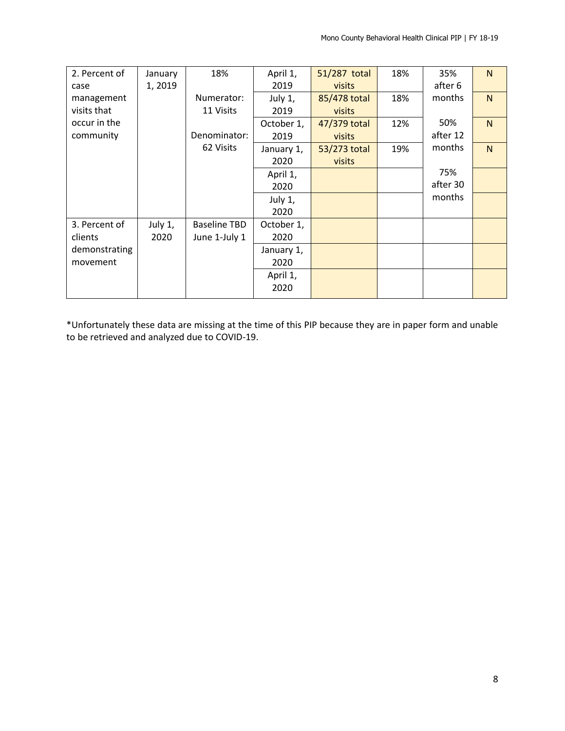| 2. Percent of | January   | 18%                 | April 1,   | 51/287 total  | 18% | 35%      | N              |
|---------------|-----------|---------------------|------------|---------------|-----|----------|----------------|
| case          | 1, 2019   |                     | 2019       | <b>visits</b> |     | after 6  |                |
| management    |           | Numerator:          | July 1,    | 85/478 total  | 18% | months   | N              |
| visits that   |           | 11 Visits           | 2019       | visits        |     |          |                |
| occur in the  |           |                     | October 1, | 47/379 total  | 12% | 50%      | N <sub>1</sub> |
| community     |           | Denominator:        | 2019       | <b>visits</b> |     | after 12 |                |
|               |           | 62 Visits           | January 1, | 53/273 total  | 19% | months   | N <sub>1</sub> |
|               |           |                     | 2020       | visits        |     |          |                |
|               |           |                     | April 1,   |               |     | 75%      |                |
|               |           |                     | 2020       |               |     | after 30 |                |
|               |           |                     | July 1,    |               |     | months   |                |
|               |           |                     | 2020       |               |     |          |                |
| 3. Percent of | July $1,$ | <b>Baseline TBD</b> | October 1, |               |     |          |                |
| clients       | 2020      | June 1-July 1       | 2020       |               |     |          |                |
| demonstrating |           |                     | January 1, |               |     |          |                |
| movement      |           |                     | 2020       |               |     |          |                |
|               |           |                     | April 1,   |               |     |          |                |
|               |           |                     | 2020       |               |     |          |                |
|               |           |                     |            |               |     |          |                |

\*Unfortunately these data are missing at the time of this PIP because they are in paper form and unable to be retrieved and analyzed due to COVID-19.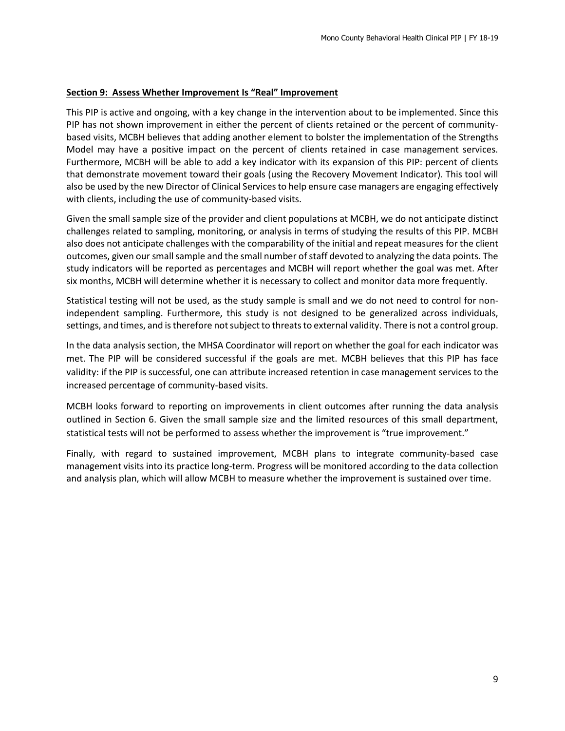#### **Section 9: Assess Whether Improvement Is "Real" Improvement**

This PIP is active and ongoing, with a key change in the intervention about to be implemented. Since this PIP has not shown improvement in either the percent of clients retained or the percent of communitybased visits, MCBH believes that adding another element to bolster the implementation of the Strengths Model may have a positive impact on the percent of clients retained in case management services. Furthermore, MCBH will be able to add a key indicator with its expansion of this PIP: percent of clients that demonstrate movement toward their goals (using the Recovery Movement Indicator). This tool will also be used by the new Director of Clinical Services to help ensure case managers are engaging effectively with clients, including the use of community-based visits.

Given the small sample size of the provider and client populations at MCBH, we do not anticipate distinct challenges related to sampling, monitoring, or analysis in terms of studying the results of this PIP. MCBH also does not anticipate challenges with the comparability of the initial and repeat measures for the client outcomes, given our small sample and the small number of staff devoted to analyzing the data points. The study indicators will be reported as percentages and MCBH will report whether the goal was met. After six months, MCBH will determine whether it is necessary to collect and monitor data more frequently.

Statistical testing will not be used, as the study sample is small and we do not need to control for nonindependent sampling. Furthermore, this study is not designed to be generalized across individuals, settings, and times, and is therefore not subject to threats to external validity. There is not a control group.

In the data analysis section, the MHSA Coordinator will report on whether the goal for each indicator was met. The PIP will be considered successful if the goals are met. MCBH believes that this PIP has face validity: if the PIP is successful, one can attribute increased retention in case management services to the increased percentage of community-based visits.

MCBH looks forward to reporting on improvements in client outcomes after running the data analysis outlined in Section 6. Given the small sample size and the limited resources of this small department, statistical tests will not be performed to assess whether the improvement is "true improvement."

Finally, with regard to sustained improvement, MCBH plans to integrate community-based case management visits into its practice long-term. Progress will be monitored according to the data collection and analysis plan, which will allow MCBH to measure whether the improvement is sustained over time.